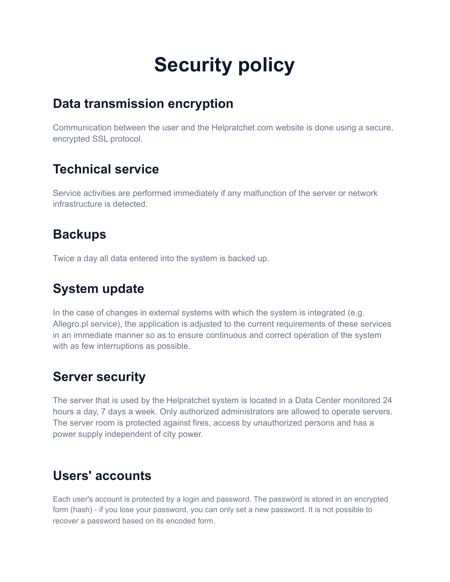# **Security policy**

### **Data [transmission](https://baselinker.com/en-US/policy/#acc-Privacy-collapseOne) encryption**

Communication between the user and the Helpratchet.com website is done using a secure, encrypted SSL protocol.

### **[Technical](https://baselinker.com/en-US/policy/#acc-Privacy-collapseFour) service**

Service activities are performed immediately if any malfunction of the server or network infrastructure is detected.

### **[Backups](https://baselinker.com/en-US/policy/#acc-Privacy-collapseSix)**

Twice a day all data entered into the system is backed up.

### **[System](https://baselinker.com/en-US/policy/#acc-Privacy-collapseFive) update**

In the case of changes in external systems with which the system is integrated (e.g. Allegro.pl service), the application is adjusted to the current requirements of these services in an immediate manner so as to ensure continuous and correct operation of the system with as few interruptions as possible.

### **Server [security](https://baselinker.com/en-US/policy/#acc-Privacy-collapseThree)**

The server that is used by the Helpratchet system is located in a Data Center monitored 24 hours a day, 7 days a week. Only authorized administrators are allowed to operate servers. The server room is protected against fires, access by unauthorized persons and has a power supply independent of city power.

### **Users' [accounts](https://baselinker.com/en-US/policy/#acc-Privacy-collapseTwo)**

Each user's account is protected by a login and password. The password is stored in an encrypted form (hash) - if you lose your password, you can only set a new password. It is not possible to recover a password based on its encoded form.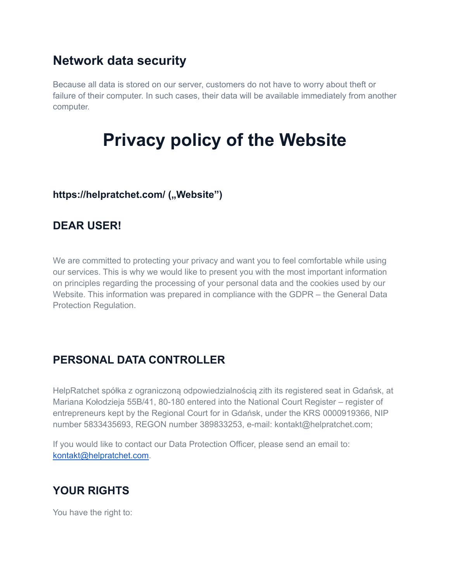### **[Network](https://baselinker.com/en-US/policy/#acc-Privacy-collapseSeven) data security**

Because all data is stored on our server, customers do not have to worry about theft or failure of their computer. In such cases, their data will be available immediately from another computer.

## **Privacy policy of the Website**

#### https://helpratchet.com/ ("Website")

### **DEAR USER!**

We are committed to protecting your privacy and want you to feel comfortable while using our services. This is why we would like to present you with the most important information on principles regarding the processing of your personal data and the cookies used by our Website. This information was prepared in compliance with the GDPR – the General Data Protection Regulation.

### **PERSONAL DATA CONTROLLER**

HelpRatchet spółka z ograniczoną odpowiedzialnością zith its registered seat in Gdańsk, at Mariana Kołodzieja 55B/41, 80-180 entered into the National Court Register – register of entrepreneurs kept by the Regional Court for in Gdańsk, under the KRS 0000919366, NIP number 5833435693, REGON number 389833253, e-mail: kontakt@helpratchet.com;

If you would like to contact our Data Protection Officer, please send an email to: [kontakt@helpratchet.com.](mailto:kontakt@helpratchet.com)

### **YOUR RIGHTS**

You have the right to: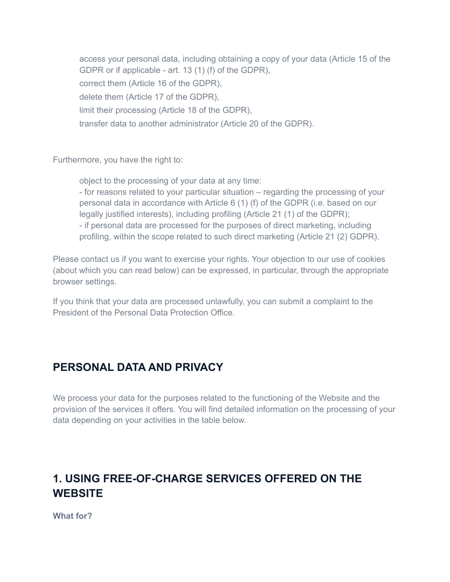access your personal data, including obtaining a copy of your data (Article 15 of the GDPR or if applicable - art. 13 (1) (f) of the GDPR), correct them (Article 16 of the GDPR), delete them (Article 17 of the GDPR), limit their processing (Article 18 of the GDPR), transfer data to another administrator (Article 20 of the GDPR).

Furthermore, you have the right to:

object to the processing of your data at any time: - for reasons related to your particular situation – regarding the processing of your personal data in accordance with Article 6 (1) (f) of the GDPR (i.e. based on our legally justified interests), including profiling (Article 21 (1) of the GDPR); - if personal data are processed for the purposes of direct marketing, including profiling, within the scope related to such direct marketing (Article 21 (2) GDPR).

Please contact us if you want to exercise your rights. Your objection to our use of cookies (about which you can read below) can be expressed, in particular, through the appropriate browser settings.

If you think that your data are processed unlawfully, you can submit a complaint to the President of the Personal Data Protection Office.

### **PERSONAL DATA AND PRIVACY**

We process your data for the purposes related to the functioning of the Website and the provision of the services it offers. You will find detailed information on the processing of your data depending on your activities in the table below.

### **1. USING FREE-OF-CHARGE SERVICES OFFERED ON THE WEBSITE**

**What for?**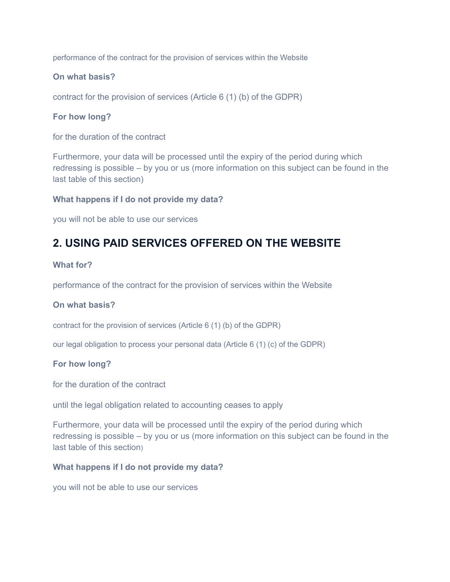performance of the contract for the provision of services within the Website

#### **On what basis?**

contract for the provision of services (Article 6 (1) (b) of the GDPR)

#### **For how long?**

for the duration of the contract

Furthermore, your data will be processed until the expiry of the period during which redressing is possible – by you or us (more information on this subject can be found in the last table of this section)

#### **What happens if I do not provide my data?**

you will not be able to use our services

### **2. USING PAID SERVICES OFFERED ON THE WEBSITE**

#### **What for?**

performance of the contract for the provision of services within the Website

#### **On what basis?**

contract for the provision of services (Article 6 (1) (b) of the GDPR)

our legal obligation to process your personal data (Article 6 (1) (c) of the GDPR)

#### **For how long?**

for the duration of the contract

until the legal obligation related to accounting ceases to apply

Furthermore, your data will be processed until the expiry of the period during which redressing is possible – by you or us (more information on this subject can be found in the last table of this section)

#### **What happens if I do not provide my data?**

you will not be able to use our services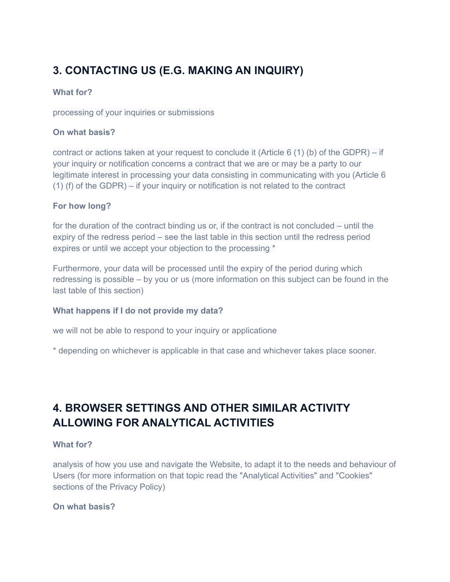### **3. CONTACTING US (E.G. MAKING AN INQUIRY)**

#### **What for?**

processing of your inquiries or submissions

#### **On what basis?**

contract or actions taken at your request to conclude it (Article 6 (1) (b) of the GDPR) – if your inquiry or notification concerns a contract that we are or may be a party to our legitimate interest in processing your data consisting in communicating with you (Article 6 (1) (f) of the GDPR) – if your inquiry or notification is not related to the contract

#### **For how long?**

for the duration of the contract binding us or, if the contract is not concluded – until the expiry of the redress period – see the last table in this section until the redress period expires or until we accept your objection to the processing \*

Furthermore, your data will be processed until the expiry of the period during which redressing is possible – by you or us (more information on this subject can be found in the last table of this section)

#### **What happens if I do not provide my data?**

we will not be able to respond to your inquiry or applicatione

\* depending on whichever is applicable in that case and whichever takes place sooner.

### **4. BROWSER SETTINGS AND OTHER SIMILAR ACTIVITY ALLOWING FOR ANALYTICAL ACTIVITIES**

#### **What for?**

analysis of how you use and navigate the Website, to adapt it to the needs and behaviour of Users (for more information on that topic read the "Analytical Activities" and "Cookies" sections of the Privacy Policy)

#### **On what basis?**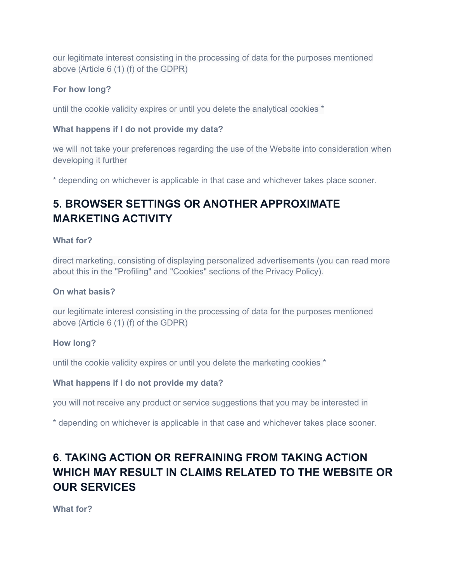our legitimate interest consisting in the processing of data for the purposes mentioned above (Article 6 (1) (f) of the GDPR)

#### **For how long?**

until the cookie validity expires or until you delete the analytical cookies \*

#### **What happens if I do not provide my data?**

we will not take your preferences regarding the use of the Website into consideration when developing it further

\* depending on whichever is applicable in that case and whichever takes place sooner.

### **5. BROWSER SETTINGS OR ANOTHER APPROXIMATE MARKETING ACTIVITY**

#### **What for?**

direct marketing, consisting of displaying personalized advertisements (you can read more about this in the "Profiling" and "Cookies" sections of the Privacy Policy).

#### **On what basis?**

our legitimate interest consisting in the processing of data for the purposes mentioned above (Article 6 (1) (f) of the GDPR)

#### **How long?**

until the cookie validity expires or until you delete the marketing cookies \*

#### **What happens if I do not provide my data?**

you will not receive any product or service suggestions that you may be interested in

\* depending on whichever is applicable in that case and whichever takes place sooner.

### **6. TAKING ACTION OR REFRAINING FROM TAKING ACTION WHICH MAY RESULT IN CLAIMS RELATED TO THE WEBSITE OR OUR SERVICES**

**What for?**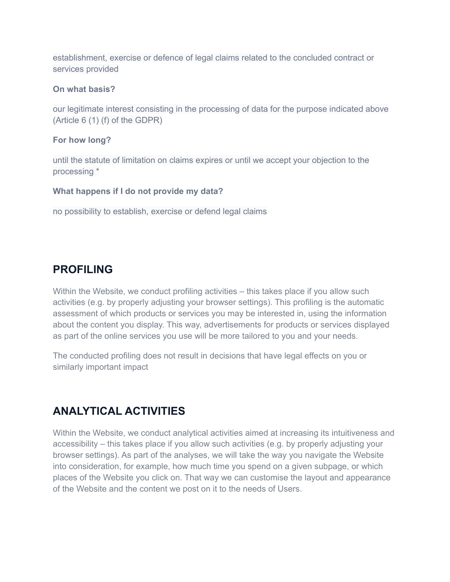establishment, exercise or defence of legal claims related to the concluded contract or services provided

#### **On what basis?**

our legitimate interest consisting in the processing of data for the purpose indicated above (Article 6 (1) (f) of the GDPR)

#### **For how long?**

until the statute of limitation on claims expires or until we accept your objection to the processing \*

#### **What happens if I do not provide my data?**

no possibility to establish, exercise or defend legal claims

### **PROFILING**

Within the Website, we conduct profiling activities – this takes place if you allow such activities (e.g. by properly adjusting your browser settings). This profiling is the automatic assessment of which products or services you may be interested in, using the information about the content you display. This way, advertisements for products or services displayed as part of the online services you use will be more tailored to you and your needs.

The conducted profiling does not result in decisions that have legal effects on you or similarly important impact

### **ANALYTICAL ACTIVITIES**

Within the Website, we conduct analytical activities aimed at increasing its intuitiveness and accessibility – this takes place if you allow such activities (e.g. by properly adjusting your browser settings). As part of the analyses, we will take the way you navigate the Website into consideration, for example, how much time you spend on a given subpage, or which places of the Website you click on. That way we can customise the layout and appearance of the Website and the content we post on it to the needs of Users.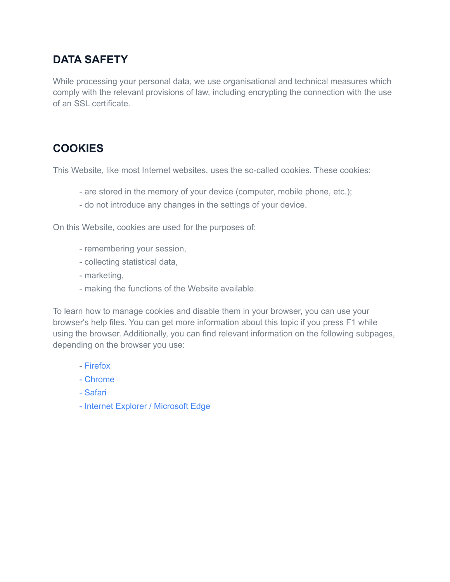### **DATA SAFETY**

While processing your personal data, we use organisational and technical measures which comply with the relevant provisions of law, including encrypting the connection with the use of an SSL certificate.

### **COOKIES**

This Website, like most Internet websites, uses the so-called cookies. These cookies:

- are stored in the memory of your device (computer, mobile phone, etc.);
- do not introduce any changes in the settings of your device.

On this Website, cookies are used for the purposes of:

- remembering your session,
- collecting statistical data,
- marketing,
- making the functions of the Website available.

To learn how to manage cookies and disable them in your browser, you can use your browser's help files. You can get more information about this topic if you press F1 while using the browser. Additionally, you can find relevant information on the following subpages, depending on the browser you use:

- [Firefox](https://support.mozilla.org/pl/kb/wzmocniona-ochrona-przed-sledzeniem-firefox-desktop?redirectlocale=pl&redirectslug=W%C5%82%C4%85czanie+i+wy%C5%82%C4%85czanie+obs%C5%82ugi+ciasteczek)
- [Chrome](https://support.google.com/chrome/answer/95647?hl=plX)
- [Safari](https://support.apple.com/pl-pl/guide/safari/sfri11471/mac)
- Internet Explorer / [Microsoft](https://support.microsoft.com/pl-pl/help/4468242/microsoft-edge-browsing-data-and-privacy) Edge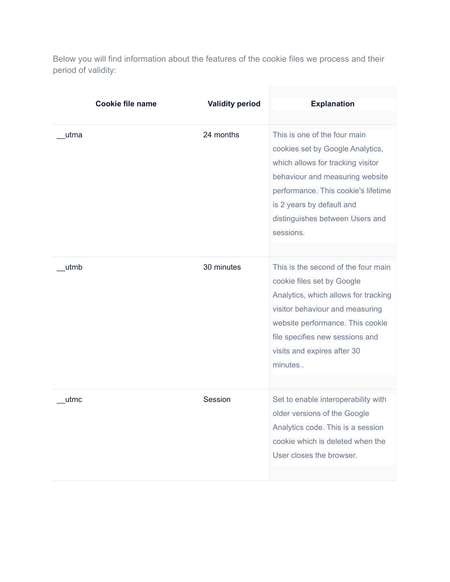Below you will find information about the features of the cookie files we process and their period of validity:

|      | <b>Cookie file name</b> | <b>Validity period</b> | <b>Explanation</b>                                                                                                                                                                                                                                            |
|------|-------------------------|------------------------|---------------------------------------------------------------------------------------------------------------------------------------------------------------------------------------------------------------------------------------------------------------|
|      |                         |                        |                                                                                                                                                                                                                                                               |
| utma |                         | 24 months              | This is one of the four main<br>cookies set by Google Analytics,<br>which allows for tracking visitor<br>behaviour and measuring website<br>performance. This cookie's lifetime<br>is 2 years by default and<br>distinguishes between Users and<br>sessions.  |
| utmb |                         | 30 minutes             | This is the second of the four main<br>cookie files set by Google<br>Analytics, which allows for tracking<br>visitor behaviour and measuring<br>website performance. This cookie<br>file specifies new sessions and<br>visits and expires after 30<br>minutes |
| utmc |                         | Session                | Set to enable interoperability with<br>older versions of the Google<br>Analytics code. This is a session<br>cookie which is deleted when the<br>User closes the browser.                                                                                      |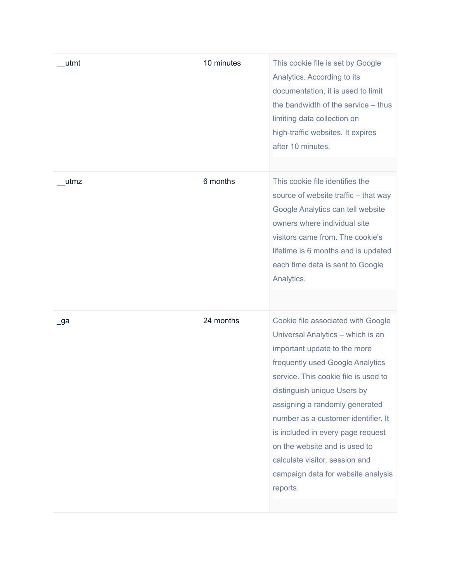| utmt | 10 minutes | This cookie file is set by Google<br>Analytics. According to its<br>documentation, it is used to limit<br>the bandwidth of the service - thus<br>limiting data collection on<br>high-traffic websites. It expires<br>after 10 minutes.                                                                                                                                                                                                                |
|------|------------|-------------------------------------------------------------------------------------------------------------------------------------------------------------------------------------------------------------------------------------------------------------------------------------------------------------------------------------------------------------------------------------------------------------------------------------------------------|
| utmz | 6 months   | This cookie file identifies the<br>source of website traffic - that way<br>Google Analytics can tell website<br>owners where individual site<br>visitors came from. The cookie's<br>lifetime is 6 months and is updated<br>each time data is sent to Google<br>Analytics.                                                                                                                                                                             |
| _ga  | 24 months  | Cookie file associated with Google<br>Universal Analytics - which is an<br>important update to the more<br>frequently used Google Analytics<br>service. This cookie file is used to<br>distinguish unique Users by<br>assigning a randomly generated<br>number as a customer identifier. It<br>is included in every page request<br>on the website and is used to<br>calculate visitor, session and<br>campaign data for website analysis<br>reports. |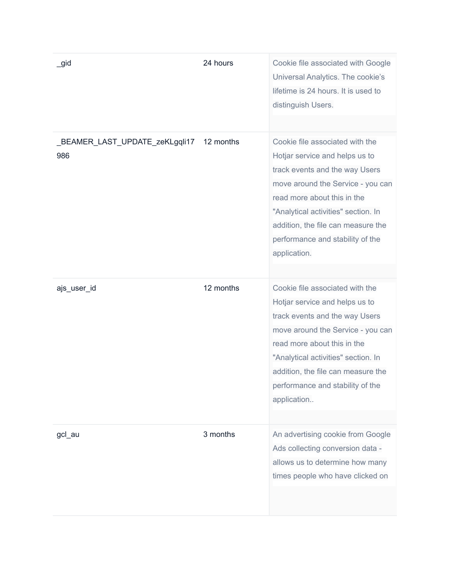| $\_$ gid                              | 24 hours  | Cookie file associated with Google<br>Universal Analytics. The cookie's<br>lifetime is 24 hours. It is used to<br>distinguish Users.                                                                                                                                                                     |
|---------------------------------------|-----------|----------------------------------------------------------------------------------------------------------------------------------------------------------------------------------------------------------------------------------------------------------------------------------------------------------|
| _BEAMER_LAST_UPDATE_zeKLgqli17<br>986 | 12 months | Cookie file associated with the<br>Hotjar service and helps us to<br>track events and the way Users<br>move around the Service - you can<br>read more about this in the<br>"Analytical activities" section. In<br>addition, the file can measure the<br>performance and stability of the<br>application. |
| ajs_user_id                           | 12 months | Cookie file associated with the<br>Hotjar service and helps us to<br>track events and the way Users<br>move around the Service - you can<br>read more about this in the<br>"Analytical activities" section. In<br>addition, the file can measure the<br>performance and stability of the<br>application  |
| gcl_au                                | 3 months  | An advertising cookie from Google<br>Ads collecting conversion data -<br>allows us to determine how many<br>times people who have clicked on                                                                                                                                                             |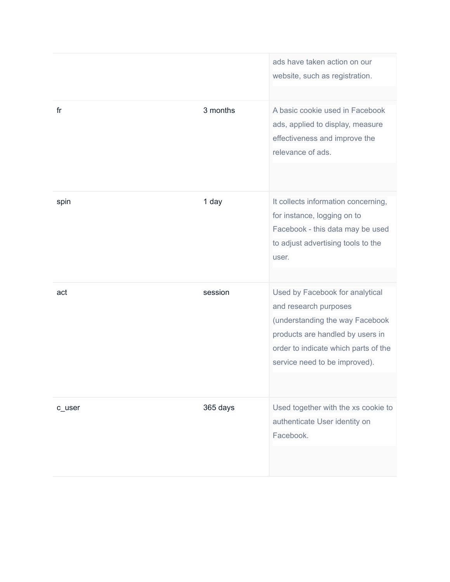|        |          | ads have taken action on our<br>website, such as registration.                                                                                                                                           |
|--------|----------|----------------------------------------------------------------------------------------------------------------------------------------------------------------------------------------------------------|
| fr     | 3 months | A basic cookie used in Facebook<br>ads, applied to display, measure<br>effectiveness and improve the<br>relevance of ads.                                                                                |
| spin   | 1 day    | It collects information concerning,<br>for instance, logging on to<br>Facebook - this data may be used<br>to adjust advertising tools to the<br>user.                                                    |
| act    | session  | Used by Facebook for analytical<br>and research purposes<br>(understanding the way Facebook<br>products are handled by users in<br>order to indicate which parts of the<br>service need to be improved). |
| c_user | 365 days | Used together with the xs cookie to<br>authenticate User identity on<br>Facebook.                                                                                                                        |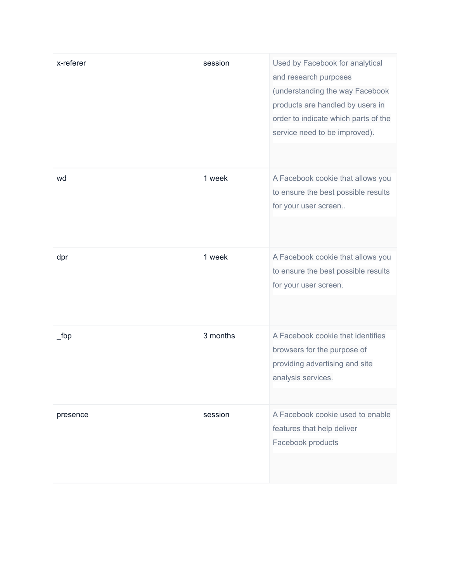| x-referer | session  | Used by Facebook for analytical<br>and research purposes<br>(understanding the way Facebook<br>products are handled by users in<br>order to indicate which parts of the<br>service need to be improved). |
|-----------|----------|----------------------------------------------------------------------------------------------------------------------------------------------------------------------------------------------------------|
| wd        | 1 week   | A Facebook cookie that allows you<br>to ensure the best possible results<br>for your user screen                                                                                                         |
| dpr       | 1 week   | A Facebook cookie that allows you<br>to ensure the best possible results<br>for your user screen.                                                                                                        |
| $_t$ fbp  | 3 months | A Facebook cookie that identifies<br>browsers for the purpose of<br>providing advertising and site<br>analysis services.                                                                                 |
| presence  | session  | A Facebook cookie used to enable<br>features that help deliver<br>Facebook products                                                                                                                      |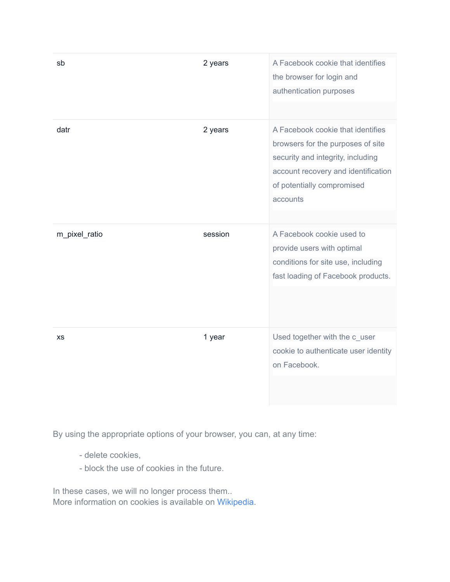| sb            | 2 years | A Facebook cookie that identifies<br>the browser for login and<br>authentication purposes                                                                                                    |
|---------------|---------|----------------------------------------------------------------------------------------------------------------------------------------------------------------------------------------------|
| datr          | 2 years | A Facebook cookie that identifies<br>browsers for the purposes of site<br>security and integrity, including<br>account recovery and identification<br>of potentially compromised<br>accounts |
| m_pixel_ratio | session | A Facebook cookie used to<br>provide users with optimal<br>conditions for site use, including<br>fast loading of Facebook products.                                                          |
| <b>XS</b>     | 1 year  | Used together with the c_user<br>cookie to authenticate user identity<br>on Facebook.                                                                                                        |

By using the appropriate options of your browser, you can, at any time:

- delete cookies,
- block the use of cookies in the future.

In these cases, we will no longer process them.. More information on cookies is available on [Wikipedia](https://en.wikipedia.org/wiki/HTTP_cookie).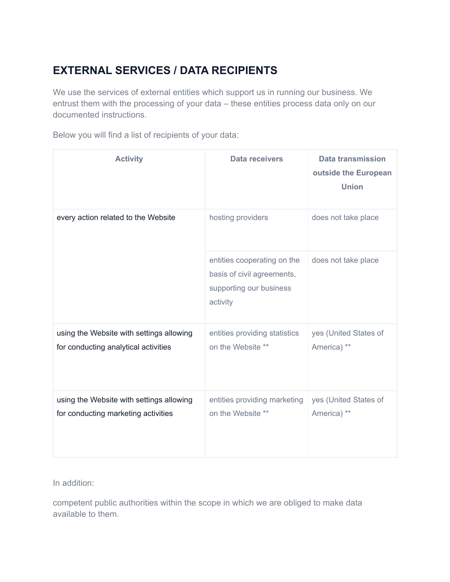### **EXTERNAL SERVICES / DATA RECIPIENTS**

We use the services of external entities which support us in running our business. We entrust them with the processing of your data – these entities process data only on our documented instructions.

Below you will find a list of recipients of your data:

| <b>Activity</b>                                                                  | Data receivers                                                                                   | <b>Data transmission</b><br>outside the European<br><b>Union</b> |
|----------------------------------------------------------------------------------|--------------------------------------------------------------------------------------------------|------------------------------------------------------------------|
| every action related to the Website                                              | hosting providers                                                                                | does not take place                                              |
|                                                                                  | entities cooperating on the<br>basis of civil agreements,<br>supporting our business<br>activity | does not take place                                              |
| using the Website with settings allowing<br>for conducting analytical activities | entities providing statistics<br>on the Website **                                               | yes (United States of<br>America) **                             |
| using the Website with settings allowing<br>for conducting marketing activities  | entities providing marketing<br>on the Website **                                                | yes (United States of<br>America) **                             |

In addition:

competent public authorities within the scope in which we are obliged to make data available to them.